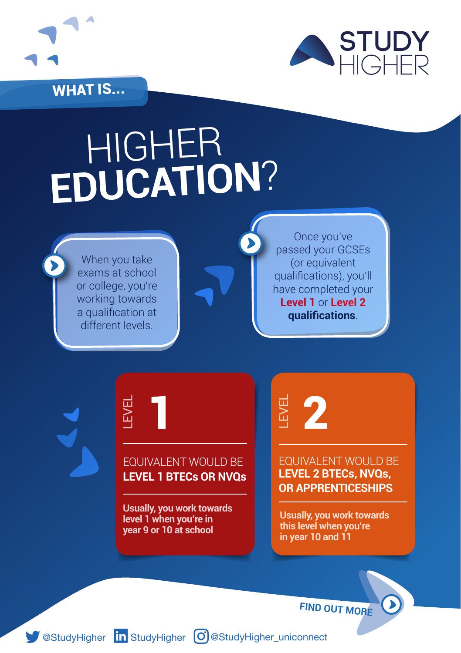

WHAT IS...



## HIGHER **EDUCATION**?

When you take exams at school or college, you're working towards a qualification at different levels.

Once you've passed your GCSEs (or equivalent qualifications), you'll have completed your **Level 1** or **Level 2 qualifications**.

## EQUIVALENT WOULD BE **LEVEL 1 BTECs OR NVQ<sup>s</sup>** LEVEL

1

**Usually, you work towards level 1 when you're in year 9 or 10 at school**

 $\begin{array}{ll}\n\hline\n\vdots \\
\hline\n\end{array}$  **EQUIVALENT WOULD B**<br> **LEVEL 2 BTECs, NVQs,**<br>
OR APPRENTICESHIPS EQUIVALENT WOULD BE **LEVEL 2 BTECs, NVQs,** 

**Usually, you work towards this level when you're in year 10 and 11**

**FIND OUT MORE**

[StudyHigher](https://uk.linkedin.com/company/study-higher) **in** StudyHigher **C** [@StudyHigher](https://www.instagram.com/studyhigher_uniconnect/)\_uniconnect